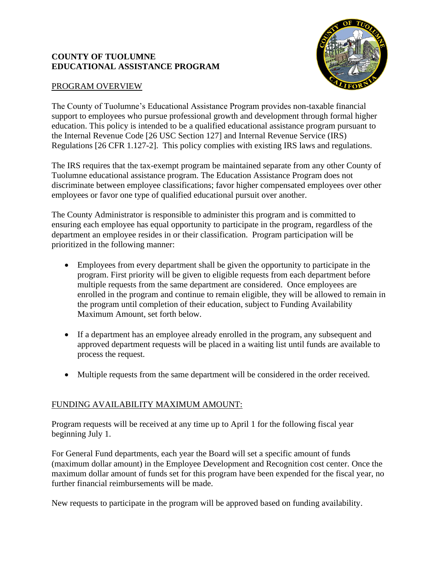#### **COUNTY OF TUOLUMNE EDUCATIONAL ASSISTANCE PROGRAM**



#### PROGRAM OVERVIEW

The County of Tuolumne's Educational Assistance Program provides non-taxable financial support to employees who pursue professional growth and development through formal higher education. This policy is intended to be a qualified educational assistance program pursuant to the Internal Revenue Code [26 USC Section 127] and Internal Revenue Service (IRS) Regulations [26 CFR 1.127-2]. This policy complies with existing IRS laws and regulations.

The IRS requires that the tax-exempt program be maintained separate from any other County of Tuolumne educational assistance program. The Education Assistance Program does not discriminate between employee classifications; favor higher compensated employees over other employees or favor one type of qualified educational pursuit over another.

The County Administrator is responsible to administer this program and is committed to ensuring each employee has equal opportunity to participate in the program, regardless of the department an employee resides in or their classification. Program participation will be prioritized in the following manner:

- Employees from every department shall be given the opportunity to participate in the program. First priority will be given to eligible requests from each department before multiple requests from the same department are considered. Once employees are enrolled in the program and continue to remain eligible, they will be allowed to remain in the program until completion of their education, subject to Funding Availability Maximum Amount, set forth below.
- If a department has an employee already enrolled in the program, any subsequent and approved department requests will be placed in a waiting list until funds are available to process the request.
- Multiple requests from the same department will be considered in the order received.

# FUNDING AVAILABILITY MAXIMUM AMOUNT:

Program requests will be received at any time up to April 1 for the following fiscal year beginning July 1.

For General Fund departments, each year the Board will set a specific amount of funds (maximum dollar amount) in the Employee Development and Recognition cost center. Once the maximum dollar amount of funds set for this program have been expended for the fiscal year, no further financial reimbursements will be made.

New requests to participate in the program will be approved based on funding availability.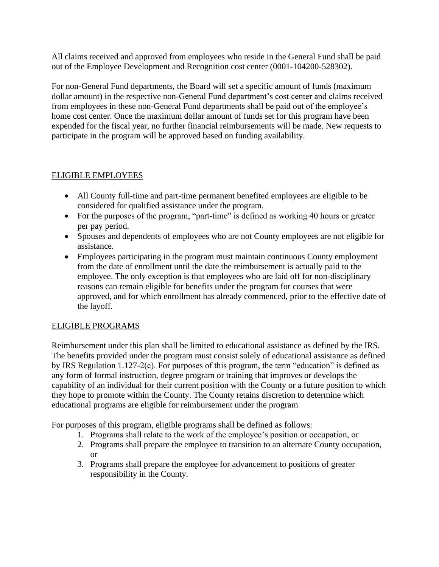All claims received and approved from employees who reside in the General Fund shall be paid out of the Employee Development and Recognition cost center (0001-104200-528302).

For non-General Fund departments, the Board will set a specific amount of funds (maximum dollar amount) in the respective non-General Fund department's cost center and claims received from employees in these non-General Fund departments shall be paid out of the employee's home cost center. Once the maximum dollar amount of funds set for this program have been expended for the fiscal year, no further financial reimbursements will be made. New requests to participate in the program will be approved based on funding availability.

#### ELIGIBLE EMPLOYEES

- All County full-time and part-time permanent benefited employees are eligible to be considered for qualified assistance under the program.
- For the purposes of the program, "part-time" is defined as working 40 hours or greater per pay period.
- Spouses and dependents of employees who are not County employees are not eligible for assistance.
- Employees participating in the program must maintain continuous County employment from the date of enrollment until the date the reimbursement is actually paid to the employee. The only exception is that employees who are laid off for non-disciplinary reasons can remain eligible for benefits under the program for courses that were approved, and for which enrollment has already commenced, prior to the effective date of the layoff.

#### ELIGIBLE PROGRAMS

Reimbursement under this plan shall be limited to educational assistance as defined by the IRS. The benefits provided under the program must consist solely of educational assistance as defined by IRS Regulation 1.127-2(c). For purposes of this program, the term "education" is defined as any form of formal instruction, degree program or training that improves or develops the capability of an individual for their current position with the County or a future position to which they hope to promote within the County. The County retains discretion to determine which educational programs are eligible for reimbursement under the program

For purposes of this program, eligible programs shall be defined as follows:

- 1. Programs shall relate to the work of the employee's position or occupation, or
- 2. Programs shall prepare the employee to transition to an alternate County occupation, or
- 3. Programs shall prepare the employee for advancement to positions of greater responsibility in the County.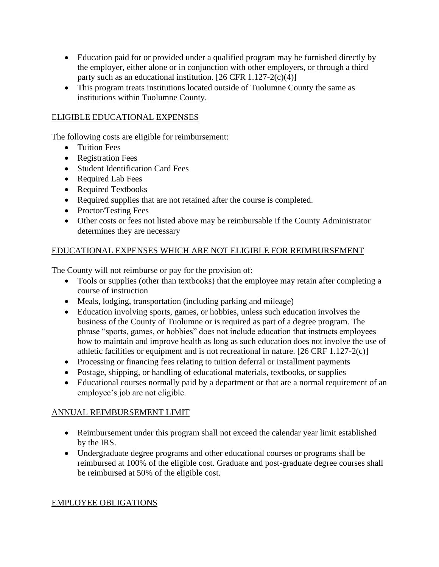- Education paid for or provided under a qualified program may be furnished directly by the employer, either alone or in conjunction with other employers, or through a third party such as an educational institution.  $[26 \text{ CFR } 1.127 \text{--} 2(c)(4)]$
- This program treats institutions located outside of Tuolumne County the same as institutions within Tuolumne County.

#### ELIGIBLE EDUCATIONAL EXPENSES

The following costs are eligible for reimbursement:

- Tuition Fees
- Registration Fees
- Student Identification Card Fees
- Required Lab Fees
- Required Textbooks
- Required supplies that are not retained after the course is completed.
- Proctor/Testing Fees
- Other costs or fees not listed above may be reimbursable if the County Administrator determines they are necessary

# EDUCATIONAL EXPENSES WHICH ARE NOT ELIGIBLE FOR REIMBURSEMENT

The County will not reimburse or pay for the provision of:

- Tools or supplies (other than textbooks) that the employee may retain after completing a course of instruction
- Meals, lodging, transportation (including parking and mileage)
- Education involving sports, games, or hobbies, unless such education involves the business of the County of Tuolumne or is required as part of a degree program. The phrase "sports, games, or hobbies" does not include education that instructs employees how to maintain and improve health as long as such education does not involve the use of athletic facilities or equipment and is not recreational in nature. [26 CRF 1.127-2(c)]
- Processing or financing fees relating to tuition deferral or installment payments
- Postage, shipping, or handling of educational materials, textbooks, or supplies
- Educational courses normally paid by a department or that are a normal requirement of an employee's job are not eligible.

# ANNUAL REIMBURSEMENT LIMIT

- Reimbursement under this program shall not exceed the calendar year limit established by the IRS.
- Undergraduate degree programs and other educational courses or programs shall be reimbursed at 100% of the eligible cost. Graduate and post-graduate degree courses shall be reimbursed at 50% of the eligible cost.

# EMPLOYEE OBLIGATIONS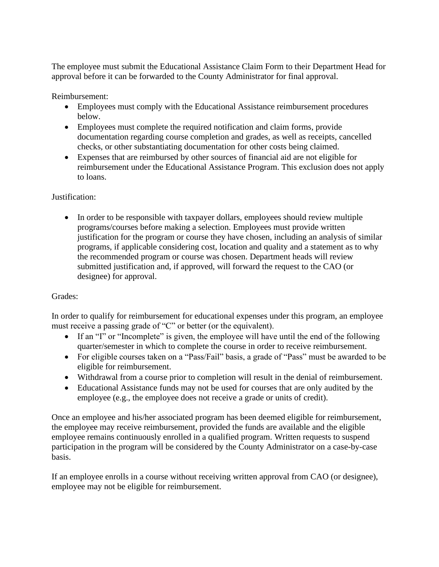The employee must submit the Educational Assistance Claim Form to their Department Head for approval before it can be forwarded to the County Administrator for final approval.

Reimbursement:

- Employees must comply with the Educational Assistance reimbursement procedures below.
- Employees must complete the required notification and claim forms, provide documentation regarding course completion and grades, as well as receipts, cancelled checks, or other substantiating documentation for other costs being claimed.
- Expenses that are reimbursed by other sources of financial aid are not eligible for reimbursement under the Educational Assistance Program. This exclusion does not apply to loans.

# Justification:

• In order to be responsible with taxpayer dollars, employees should review multiple programs/courses before making a selection. Employees must provide written justification for the program or course they have chosen, including an analysis of similar programs, if applicable considering cost, location and quality and a statement as to why the recommended program or course was chosen. Department heads will review submitted justification and, if approved, will forward the request to the CAO (or designee) for approval.

# Grades:

In order to qualify for reimbursement for educational expenses under this program, an employee must receive a passing grade of "C" or better (or the equivalent).

- If an "I" or "Incomplete" is given, the employee will have until the end of the following quarter/semester in which to complete the course in order to receive reimbursement.
- For eligible courses taken on a "Pass/Fail" basis, a grade of "Pass" must be awarded to be eligible for reimbursement.
- Withdrawal from a course prior to completion will result in the denial of reimbursement.
- Educational Assistance funds may not be used for courses that are only audited by the employee (e.g., the employee does not receive a grade or units of credit).

Once an employee and his/her associated program has been deemed eligible for reimbursement, the employee may receive reimbursement, provided the funds are available and the eligible employee remains continuously enrolled in a qualified program. Written requests to suspend participation in the program will be considered by the County Administrator on a case-by-case basis.

If an employee enrolls in a course without receiving written approval from CAO (or designee), employee may not be eligible for reimbursement.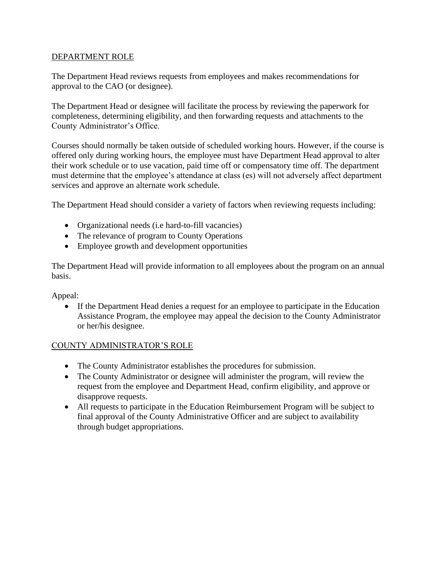#### DEPARTMENT ROLE

The Department Head reviews requests from employees and makes recommendations for approval to the CAO (or designee).

The Department Head or designee will facilitate the process by reviewing the paperwork for completeness, determining eligibility, and then forwarding requests and attachments to the County Administrator's Office.

Courses should normally be taken outside of scheduled working hours. However, if the course is offered only during working hours, the employee must have Department Head approval to alter their work schedule or to use vacation, paid time off or compensatory time off. The department must determine that the employee's attendance at class (es) will not adversely affect department services and approve an alternate work schedule.

The Department Head should consider a variety of factors when reviewing requests including:

- Organizational needs (i.e hard-to-fill vacancies)
- The relevance of program to County Operations
- Employee growth and development opportunities

The Department Head will provide information to all employees about the program on an annual basis.

Appeal:

• If the Department Head denies a request for an employee to participate in the Education Assistance Program, the employee may appeal the decision to the County Administrator or her/his designee.

#### COUNTY ADMINISTRATOR'S ROLE

- The County Administrator establishes the procedures for submission.
- The County Administrator or designee will administer the program, will review the request from the employee and Department Head, confirm eligibility, and approve or disapprove requests.
- All requests to participate in the Education Reimbursement Program will be subject to final approval of the County Administrative Officer and are subject to availability through budget appropriations.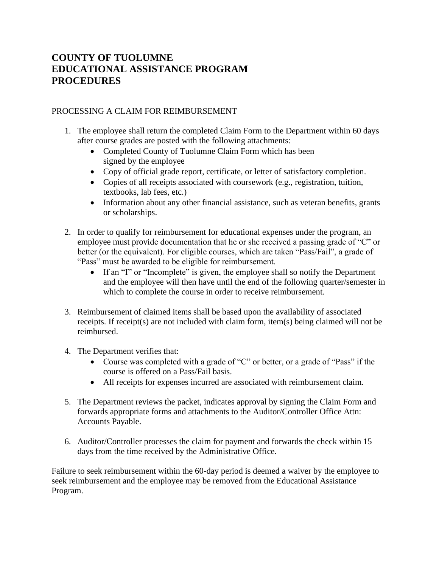# **COUNTY OF TUOLUMNE EDUCATIONAL ASSISTANCE PROGRAM PROCEDURES**

#### PROCESSING A CLAIM FOR REIMBURSEMENT

- 1. The employee shall return the completed Claim Form to the Department within 60 days after course grades are posted with the following attachments:
	- Completed County of Tuolumne Claim Form which has been signed by the employee
	- Copy of official grade report, certificate, or letter of satisfactory completion.
	- Copies of all receipts associated with coursework (e.g., registration, tuition, textbooks, lab fees, etc.)
	- Information about any other financial assistance, such as veteran benefits, grants or scholarships.
- 2. In order to qualify for reimbursement for educational expenses under the program, an employee must provide documentation that he or she received a passing grade of "C" or better (or the equivalent). For eligible courses, which are taken "Pass/Fail", a grade of "Pass" must be awarded to be eligible for reimbursement.
	- If an "I" or "Incomplete" is given, the employee shall so notify the Department and the employee will then have until the end of the following quarter/semester in which to complete the course in order to receive reimbursement.
- 3. Reimbursement of claimed items shall be based upon the availability of associated receipts. If receipt(s) are not included with claim form, item(s) being claimed will not be reimbursed.
- 4. The Department verifies that:
	- Course was completed with a grade of "C" or better, or a grade of "Pass" if the course is offered on a Pass/Fail basis.
	- All receipts for expenses incurred are associated with reimbursement claim.
- 5. The Department reviews the packet, indicates approval by signing the Claim Form and forwards appropriate forms and attachments to the Auditor/Controller Office Attn: Accounts Payable.
- 6. Auditor/Controller processes the claim for payment and forwards the check within 15 days from the time received by the Administrative Office.

Failure to seek reimbursement within the 60-day period is deemed a waiver by the employee to seek reimbursement and the employee may be removed from the Educational Assistance Program.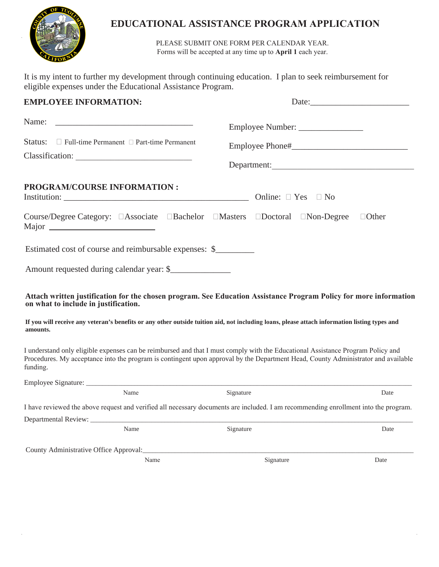

# **EDUCATIONAL ASSISTANCE PROGRAM APPLICATION**

PLEASE SUBMIT ONE FORM PER CALENDAR YEAR. Forms will be accepted at any time up to **April 1** each year.

It is my intent to further my development through continuing education. I plan to seek reimbursement for eligible expenses under the Educational Assistance Program.

| <b>EMPLOYEE INFORMATION:</b>                                                                                                                                                                                                                                                     | Date:                        |              |  |  |
|----------------------------------------------------------------------------------------------------------------------------------------------------------------------------------------------------------------------------------------------------------------------------------|------------------------------|--------------|--|--|
| Name:                                                                                                                                                                                                                                                                            |                              |              |  |  |
| Status: $\Box$ Full-time Permanent $\Box$ Part-time Permanent                                                                                                                                                                                                                    |                              |              |  |  |
|                                                                                                                                                                                                                                                                                  | Department:                  |              |  |  |
| <b>PROGRAM/COURSE INFORMATION:</b>                                                                                                                                                                                                                                               | Online: $\Box$ Yes $\Box$ No |              |  |  |
| Course/Degree Category: □Associate □Bachelor □Masters □Doctoral □Non-Degree                                                                                                                                                                                                      |                              | $\Box$ Other |  |  |
| Estimated cost of course and reimbursable expenses: \$                                                                                                                                                                                                                           |                              |              |  |  |
| Amount requested during calendar year: \$                                                                                                                                                                                                                                        |                              |              |  |  |
| Attach written justification for the chosen program. See Education Assistance Program Policy for more information<br>on what to include in justification.                                                                                                                        |                              |              |  |  |
| If you will receive any veteran's benefits or any other outside tuition aid, not including loans, please attach information listing types and<br>amounts.                                                                                                                        |                              |              |  |  |
| I understand only eligible expenses can be reimbursed and that I must comply with the Educational Assistance Program Policy and<br>Procedures. My acceptance into the program is contingent upon approval by the Department Head, County Administrator and available<br>funding. |                              |              |  |  |
|                                                                                                                                                                                                                                                                                  |                              |              |  |  |
| Name                                                                                                                                                                                                                                                                             | Signature                    | Date         |  |  |
| I have reviewed the above request and verified all necessary documents are included. I am recommending enrollment into the program.                                                                                                                                              |                              |              |  |  |
| Departmental Review: ___________<br>Name                                                                                                                                                                                                                                         | Signature                    | Date         |  |  |
| County Administrative Office Approval:<br>Name                                                                                                                                                                                                                                   | Signature                    | Date         |  |  |